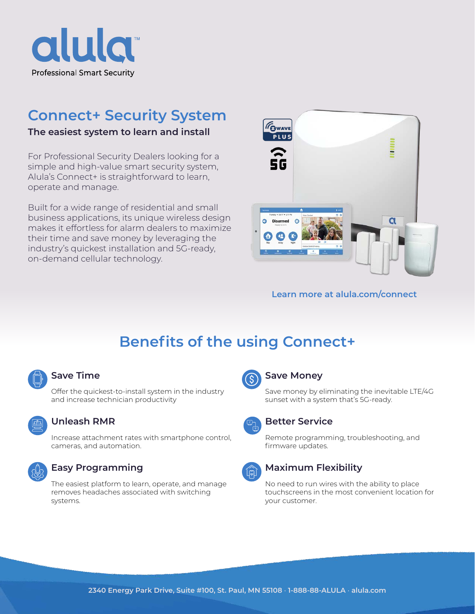

# **Connect+ Security System**

### **The easiest system to learn and install**

For Professional Security Dealers looking for a simple and high-value smart security system, Alula's Connect+ is straightforward to learn, operate and manage.

Built for a wide range of residential and small business applications, its unique wireless design makes it effortless for alarm dealers to maximize their time and save money by leveraging the industry's quickest installation and 5G-ready, on-demand cellular technology.



#### **Learn more at [alula.com/connect](http://alula.com/connect)**

# **Benefits of the using Connect+**



#### **Save Time**

Offer the quickest-to-install system in the industry and increase technician productivity



#### **Unleash RMR**

Increase attachment rates with smartphone control, cameras, and automation.



### **Easy Programming**

The easiest platform to learn, operate, and manage removes headaches associated with switching systems.



#### **Save Money**

Save money by eliminating the inevitable LTE/4G sunset with a system that's 5G-ready.



#### **Better Service**

Remote programming, troubleshooting, and firmware updates.



#### **Maximum Flexibility**

No need to run wires with the ability to place touchscreens in the most convenient location for your customer.